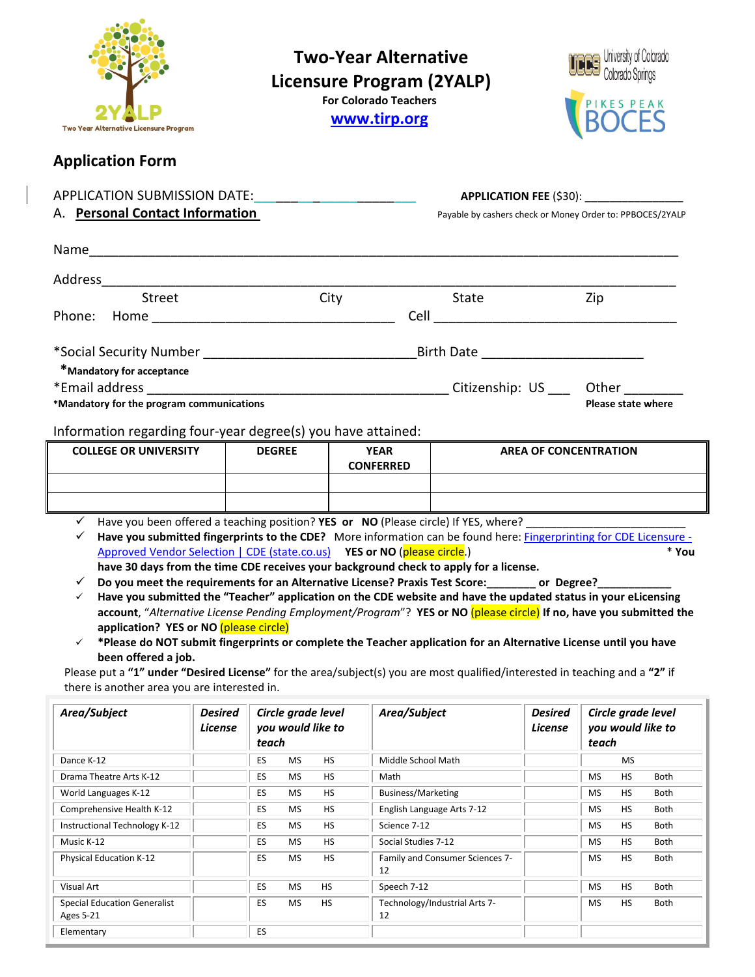| Two Year Alternative Licensure Program                                                                                                                                                                                                                                                                                                                                                                                                                                                                                                                                                                                                                                                                                                                                                                                                                                                                                 |                                  | <b>Two-Year Alternative</b><br><b>Licensure Program (2YALP)</b><br><b>For Colorado Teachers</b><br>www.tirp.org |           |                                 |                                 | University of Colorado<br>Colorado Springs<br>PIKES PEAK |                                                  |           |       |
|------------------------------------------------------------------------------------------------------------------------------------------------------------------------------------------------------------------------------------------------------------------------------------------------------------------------------------------------------------------------------------------------------------------------------------------------------------------------------------------------------------------------------------------------------------------------------------------------------------------------------------------------------------------------------------------------------------------------------------------------------------------------------------------------------------------------------------------------------------------------------------------------------------------------|----------------------------------|-----------------------------------------------------------------------------------------------------------------|-----------|---------------------------------|---------------------------------|----------------------------------------------------------|--------------------------------------------------|-----------|-------|
| <b>Application Form</b>                                                                                                                                                                                                                                                                                                                                                                                                                                                                                                                                                                                                                                                                                                                                                                                                                                                                                                |                                  |                                                                                                                 |           |                                 |                                 |                                                          |                                                  |           |       |
| A. Personal Contact Information<br>Payable by cashers check or Money Order to: PPBOCES/2YALP                                                                                                                                                                                                                                                                                                                                                                                                                                                                                                                                                                                                                                                                                                                                                                                                                           |                                  |                                                                                                                 |           |                                 |                                 |                                                          |                                                  |           |       |
|                                                                                                                                                                                                                                                                                                                                                                                                                                                                                                                                                                                                                                                                                                                                                                                                                                                                                                                        |                                  |                                                                                                                 |           |                                 |                                 |                                                          |                                                  |           |       |
| Street                                                                                                                                                                                                                                                                                                                                                                                                                                                                                                                                                                                                                                                                                                                                                                                                                                                                                                                 | City                             |                                                                                                                 |           | State                           |                                 |                                                          | Zip                                              |           |       |
|                                                                                                                                                                                                                                                                                                                                                                                                                                                                                                                                                                                                                                                                                                                                                                                                                                                                                                                        |                                  |                                                                                                                 |           |                                 |                                 |                                                          |                                                  |           |       |
| *Mandatory for acceptance                                                                                                                                                                                                                                                                                                                                                                                                                                                                                                                                                                                                                                                                                                                                                                                                                                                                                              |                                  |                                                                                                                 |           |                                 |                                 |                                                          |                                                  |           |       |
|                                                                                                                                                                                                                                                                                                                                                                                                                                                                                                                                                                                                                                                                                                                                                                                                                                                                                                                        |                                  |                                                                                                                 |           |                                 |                                 |                                                          |                                                  |           |       |
| *Mandatory for the program communications<br><b>Please state where</b>                                                                                                                                                                                                                                                                                                                                                                                                                                                                                                                                                                                                                                                                                                                                                                                                                                                 |                                  |                                                                                                                 |           |                                 |                                 |                                                          |                                                  |           |       |
| Information regarding four-year degree(s) you have attained:                                                                                                                                                                                                                                                                                                                                                                                                                                                                                                                                                                                                                                                                                                                                                                                                                                                           |                                  |                                                                                                                 |           |                                 |                                 |                                                          |                                                  |           |       |
| <b>COLLEGE OR UNIVERSITY</b>                                                                                                                                                                                                                                                                                                                                                                                                                                                                                                                                                                                                                                                                                                                                                                                                                                                                                           |                                  | <b>DEGREE</b>                                                                                                   |           | <b>YEAR</b><br><b>CONFERRED</b> |                                 | <b>AREA OF CONCENTRATION</b>                             |                                                  |           |       |
|                                                                                                                                                                                                                                                                                                                                                                                                                                                                                                                                                                                                                                                                                                                                                                                                                                                                                                                        |                                  |                                                                                                                 |           |                                 |                                 |                                                          |                                                  |           |       |
|                                                                                                                                                                                                                                                                                                                                                                                                                                                                                                                                                                                                                                                                                                                                                                                                                                                                                                                        |                                  |                                                                                                                 |           |                                 |                                 |                                                          |                                                  |           |       |
| Have you been offered a teaching position? YES or NO (Please circle) If YES, where?<br>$\checkmark$<br>Have you submitted fingerprints to the CDE? More information can be found here: Fingerprinting for CDE Licensure -<br>Approved Vendor Selection   CDE (state.co.us) YES or NO (please circle.)<br>have 30 days from the time CDE receives your background check to apply for a license.<br>Do you meet the requirements for an Alternative License? Praxis Test Score: ________ or Degree?<br>✓<br>Have you submitted the "Teacher" application on the CDE website and have the updated status in your eLicensing<br>✓<br>account, "Alternative License Pending Employment/Program"? YES or NO (please circle) If no, have you submitted the<br>application? YES or NO (please circle)<br>*Please do NOT submit fingerprints or complete the Teacher application for an Alternative License until you have<br>✓ |                                  |                                                                                                                 |           |                                 |                                 |                                                          |                                                  |           | * You |
| been offered a job.<br>Please put a "1" under "Desired License" for the area/subject(s) you are most qualified/interested in teaching and a "2" if                                                                                                                                                                                                                                                                                                                                                                                                                                                                                                                                                                                                                                                                                                                                                                     |                                  |                                                                                                                 |           |                                 |                                 |                                                          |                                                  |           |       |
| there is another area you are interested in.<br>Area/Subject                                                                                                                                                                                                                                                                                                                                                                                                                                                                                                                                                                                                                                                                                                                                                                                                                                                           | <b>Desired</b><br><b>License</b> | Circle grade level<br>you would like to                                                                         |           | Area/Subject                    |                                 | <b>Desired</b><br>License                                | Circle grade level<br>you would like to<br>teach |           |       |
| Dance K-12                                                                                                                                                                                                                                                                                                                                                                                                                                                                                                                                                                                                                                                                                                                                                                                                                                                                                                             |                                  | teach<br>ES.<br><b>MS</b>                                                                                       | <b>HS</b> | Middle School Math              |                                 |                                                          |                                                  | <b>MS</b> |       |
| Drama Theatre Arts K-12                                                                                                                                                                                                                                                                                                                                                                                                                                                                                                                                                                                                                                                                                                                                                                                                                                                                                                |                                  | ES<br><b>MS</b>                                                                                                 | HS        | Math                            |                                 |                                                          | MS                                               | HS        | Both  |
| World Languages K-12                                                                                                                                                                                                                                                                                                                                                                                                                                                                                                                                                                                                                                                                                                                                                                                                                                                                                                   |                                  | ES<br><b>MS</b>                                                                                                 | HS        | Business/Marketing              |                                 |                                                          | <b>MS</b>                                        | HS        | Both  |
| Comprehensive Health K-12                                                                                                                                                                                                                                                                                                                                                                                                                                                                                                                                                                                                                                                                                                                                                                                                                                                                                              |                                  | ES<br><b>MS</b>                                                                                                 | HS        |                                 | English Language Arts 7-12      |                                                          | <b>MS</b>                                        | HS        | Both  |
| Instructional Technology K-12                                                                                                                                                                                                                                                                                                                                                                                                                                                                                                                                                                                                                                                                                                                                                                                                                                                                                          |                                  | ES.<br>MS                                                                                                       | HS        | Science 7-12                    |                                 |                                                          | <b>MS</b>                                        | HS        | Both  |
| Music K-12                                                                                                                                                                                                                                                                                                                                                                                                                                                                                                                                                                                                                                                                                                                                                                                                                                                                                                             |                                  | ES.<br><b>MS</b>                                                                                                | HS        | Social Studies 7-12             |                                 |                                                          | <b>MS</b>                                        | HS        | Both  |
| Physical Education K-12                                                                                                                                                                                                                                                                                                                                                                                                                                                                                                                                                                                                                                                                                                                                                                                                                                                                                                |                                  | ES.<br>MS                                                                                                       | HS        | 12                              | Family and Consumer Sciences 7- |                                                          | MS                                               | HS        | Both  |
| Visual Art                                                                                                                                                                                                                                                                                                                                                                                                                                                                                                                                                                                                                                                                                                                                                                                                                                                                                                             |                                  | ES<br><b>HS</b><br><b>MS</b>                                                                                    |           | Speech 7-12                     |                                 |                                                          | <b>MS</b>                                        | HS        | Both  |
| <b>Special Education Generalist</b><br><b>Ages 5-21</b>                                                                                                                                                                                                                                                                                                                                                                                                                                                                                                                                                                                                                                                                                                                                                                                                                                                                |                                  | ES.<br><b>MS</b><br>HS                                                                                          |           | 12                              | Technology/Industrial Arts 7-   |                                                          | <b>MS</b>                                        | HS        | Both  |
| Elementary                                                                                                                                                                                                                                                                                                                                                                                                                                                                                                                                                                                                                                                                                                                                                                                                                                                                                                             |                                  | ES.                                                                                                             |           |                                 |                                 |                                                          |                                                  |           |       |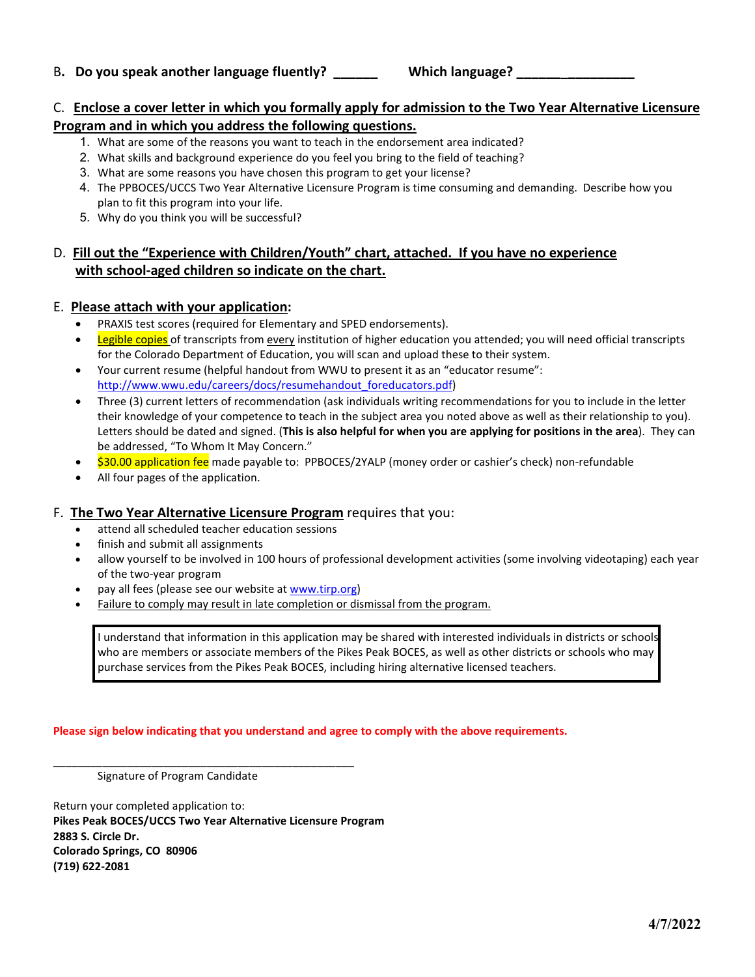## B**. Do you speak another language fluently? \_\_\_\_\_\_ Which language? \_\_\_\_\_\_**\_**\_\_\_\_\_\_\_\_\_**

## C. **Enclose a cover letter in which you formally apply for admission to the Two Year Alternative Licensure Program and in which you address the following questions.**

- 1. What are some of the reasons you want to teach in the endorsement area indicated?
- 2. What skills and background experience do you feel you bring to the field of teaching?
- 3. What are some reasons you have chosen this program to get your license?
- 4. The PPBOCES/UCCS Two Year Alternative Licensure Program is time consuming and demanding. Describe how you plan to fit this program into your life.
- 5. Why do you think you will be successful?

# D. **Fill out the "Experience with Children/Youth" chart, attached. If you have no experience with school-aged children so indicate on the chart.**

#### E. **Please attach with your application:**

- PRAXIS test scores (required for Elementary and SPED endorsements).
- Legible copies of transcripts from every institution of higher education you attended; you will need official transcripts for the Colorado Department of Education, you will scan and upload these to their system.
- Your current resume (helpful handout from WWU to present it as an "educator resume": [http://www.wwu.edu/careers/docs/resumehandout\\_foreducators.pdf\)](http://www.wwu.edu/careers/docs/resumehandout_foreducators.pdf)
- Three (3) current letters of recommendation (ask individuals writing recommendations for you to include in the letter their knowledge of your competence to teach in the subject area you noted above as well as their relationship to you). Letters should be dated and signed. (**This is also helpful for when you are applying for positions in the area**). They can be addressed, "To Whom It May Concern."
- \$30.00 application fee made payable to: PPBOCES/2YALP (money order or cashier's check) non-refundable
- All four pages of the application.

#### F. **The Two Year Alternative Licensure Program** requires that you:

- attend all scheduled teacher education sessions
- finish and submit all assignments
- allow yourself to be involved in 100 hours of professional development activities (some involving videotaping) each year of the two-year program
- pay all fees (please see our website at [www.tirp.org\)](http://www.tirp.org/)
- Failure to comply may result in late completion or dismissal from the program.

I understand that information in this application may be shared with interested individuals in districts or schools who are members or associate members of the Pikes Peak BOCES, as well as other districts or schools who may purchase services from the Pikes Peak BOCES, including hiring alternative licensed teachers.

#### **Please sign below indicating that you understand and agree to comply with the above requirements.**

Signature of Program Candidate

Return your completed application to: **Pikes Peak BOCES/UCCS Two Year Alternative Licensure Program 2883 S. Circle Dr. Colorado Springs, CO 80906 (719) 622-2081**

\_\_\_\_\_\_\_\_\_\_\_\_\_\_\_\_\_\_\_\_\_\_\_\_\_\_\_\_\_\_\_\_\_\_\_\_\_\_\_\_\_\_\_\_\_\_\_\_\_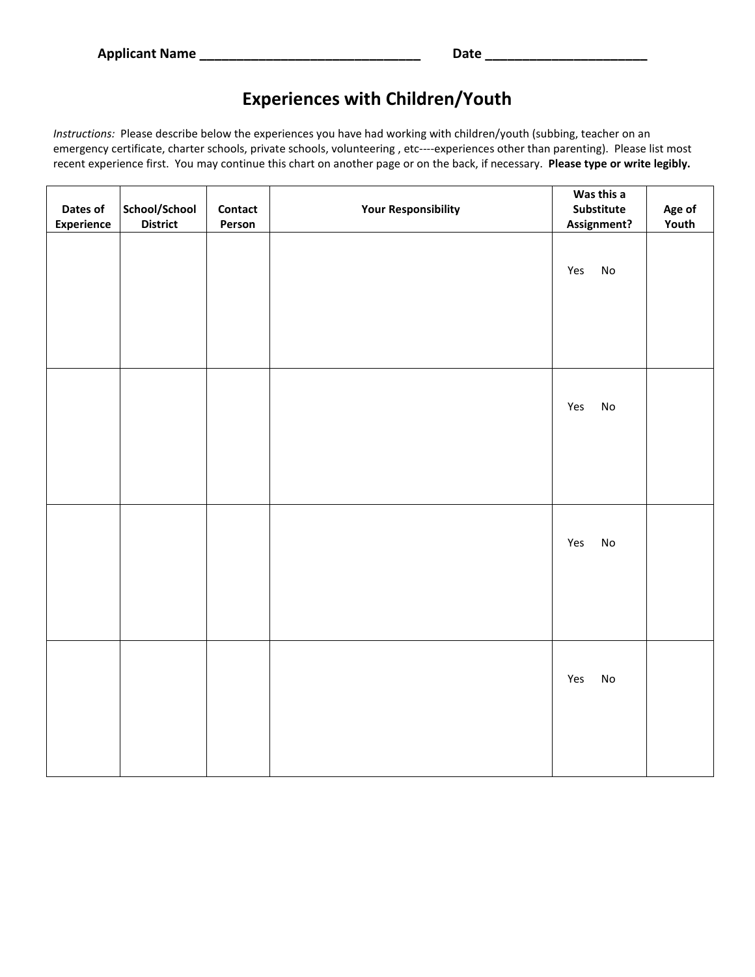# **Experiences with Children/Youth**

*Instructions:* Please describe below the experiences you have had working with children/youth (subbing, teacher on an emergency certificate, charter schools, private schools, volunteering , etc----experiences other than parenting). Please list most recent experience first. You may continue this chart on another page or on the back, if necessary. **Please type or write legibly.**

|                               |                                  |                   |                            | Was this a                          |                 |
|-------------------------------|----------------------------------|-------------------|----------------------------|-------------------------------------|-----------------|
| Dates of<br><b>Experience</b> | School/School<br><b>District</b> | Contact<br>Person | <b>Your Responsibility</b> | Substitute<br>Assignment?           | Age of<br>Youth |
|                               |                                  |                   |                            | Yes<br>No                           |                 |
|                               |                                  |                   |                            | Yes<br>$\operatorname{\mathsf{No}}$ |                 |
|                               |                                  |                   |                            | Yes<br>$\operatorname{\mathsf{No}}$ |                 |
|                               |                                  |                   |                            | Yes<br>$\operatorname{\mathsf{No}}$ |                 |